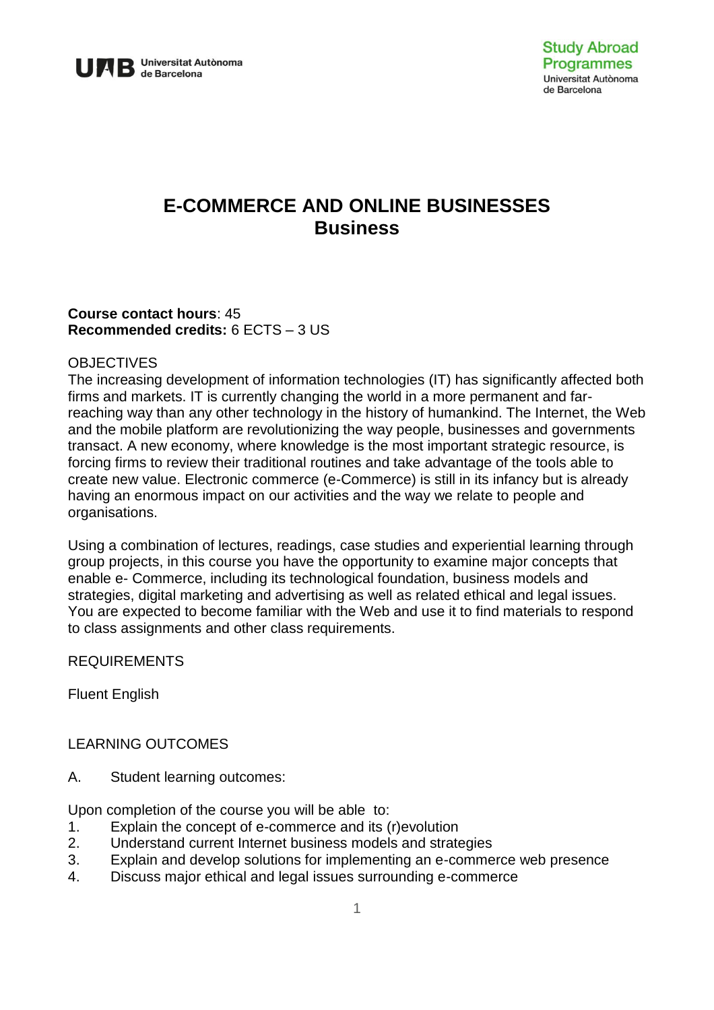

# **E-COMMERCE AND ONLINE BUSINESSES Business**

## **Course contact hours**: 45 **Recommended credits:** 6 ECTS – 3 US

#### **OBJECTIVES**

The increasing development of information technologies (IT) has significantly affected both firms and markets. IT is currently changing the world in a more permanent and farreaching way than any other technology in the history of humankind. The Internet, the Web and the mobile platform are revolutionizing the way people, businesses and governments transact. A new economy, where knowledge is the most important strategic resource, is forcing firms to review their traditional routines and take advantage of the tools able to create new value. Electronic commerce (e-Commerce) is still in its infancy but is already having an enormous impact on our activities and the way we relate to people and organisations.

Using a combination of lectures, readings, case studies and experiential learning through group projects, in this course you have the opportunity to examine major concepts that enable e- Commerce, including its technological foundation, business models and strategies, digital marketing and advertising as well as related ethical and legal issues. You are expected to become familiar with the Web and use it to find materials to respond to class assignments and other class requirements.

## REQUIREMENTS

Fluent English

## LEARNING OUTCOMES

A. Student learning outcomes:

Upon completion of the course you will be able to:

- 1. Explain the concept of e-commerce and its (r)evolution
- 2. Understand current Internet business models and strategies
- 3. Explain and develop solutions for implementing an e-commerce web presence
- 4. Discuss major ethical and legal issues surrounding e-commerce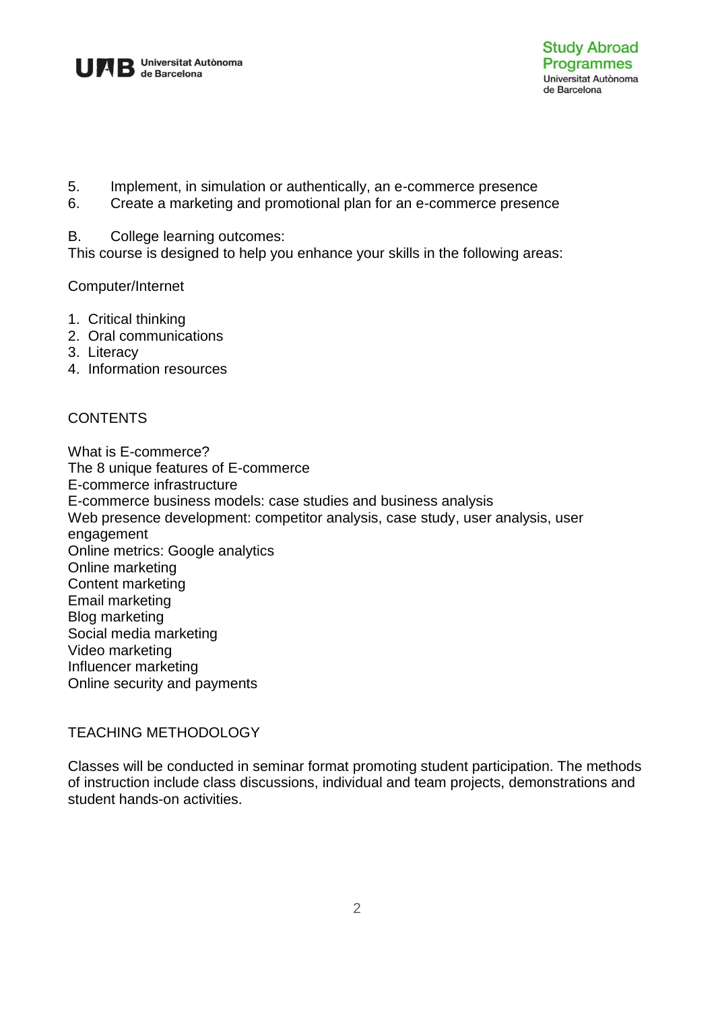

- 5. Implement, in simulation or authentically, an e-commerce presence
- 6. Create a marketing and promotional plan for an e-commerce presence

#### B. College learning outcomes:

This course is designed to help you enhance your skills in the following areas:

## Computer/Internet

- 1. Critical thinking
- 2. Oral communications
- 3. Literacy
- 4. Information resources

## CONTENTS

What is E-commerce? The 8 unique features of E-commerce E-commerce infrastructure E-commerce business models: case studies and business analysis Web presence development: competitor analysis, case study, user analysis, user engagement Online metrics: Google analytics Online marketing Content marketing Email marketing Blog marketing Social media marketing Video marketing Influencer marketing Online security and payments

## TEACHING METHODOLOGY

Classes will be conducted in seminar format promoting student participation. The methods of instruction include class discussions, individual and team projects, demonstrations and student hands-on activities.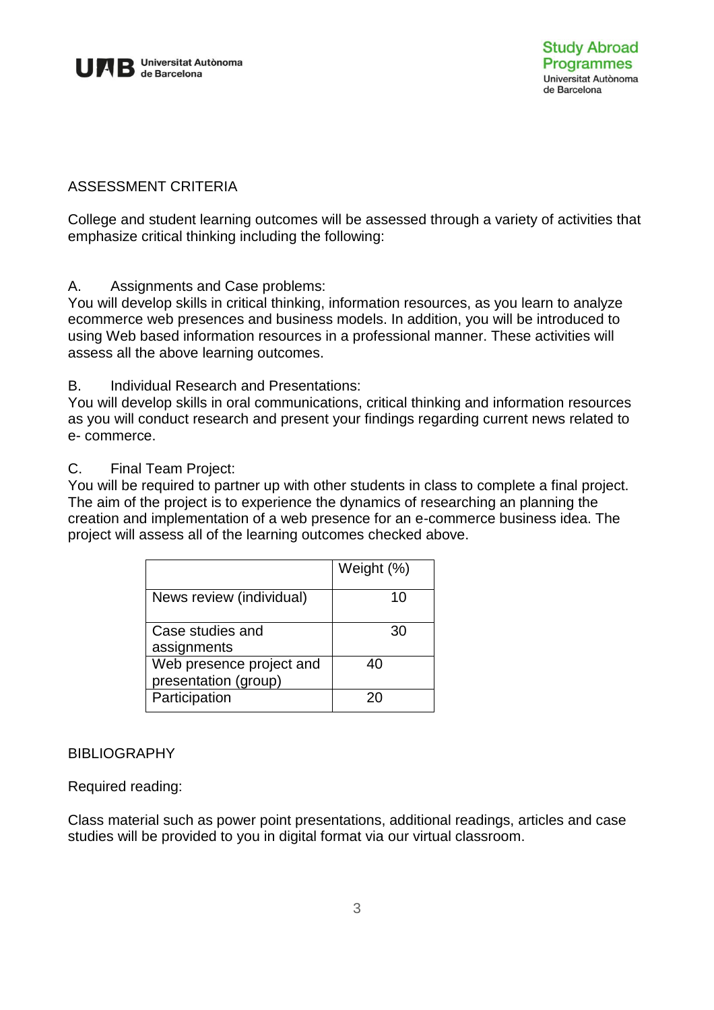

# ASSESSMENT CRITERIA

College and student learning outcomes will be assessed through a variety of activities that emphasize critical thinking including the following:

A. Assignments and Case problems:

You will develop skills in critical thinking, information resources, as you learn to analyze ecommerce web presences and business models. In addition, you will be introduced to using Web based information resources in a professional manner. These activities will assess all the above learning outcomes.

B. Individual Research and Presentations:

You will develop skills in oral communications, critical thinking and information resources as you will conduct research and present your findings regarding current news related to e- commerce.

#### C. Final Team Project:

You will be required to partner up with other students in class to complete a final project. The aim of the project is to experience the dynamics of researching an planning the creation and implementation of a web presence for an e-commerce business idea. The project will assess all of the learning outcomes checked above.

|                                                  | Weight (%) |
|--------------------------------------------------|------------|
| News review (individual)                         | 10         |
| Case studies and<br>assignments                  | 30         |
| Web presence project and<br>presentation (group) | 40         |
| Participation                                    | 20         |

## **BIBLIOGRAPHY**

Required reading:

Class material such as power point presentations, additional readings, articles and case studies will be provided to you in digital format via our virtual classroom.